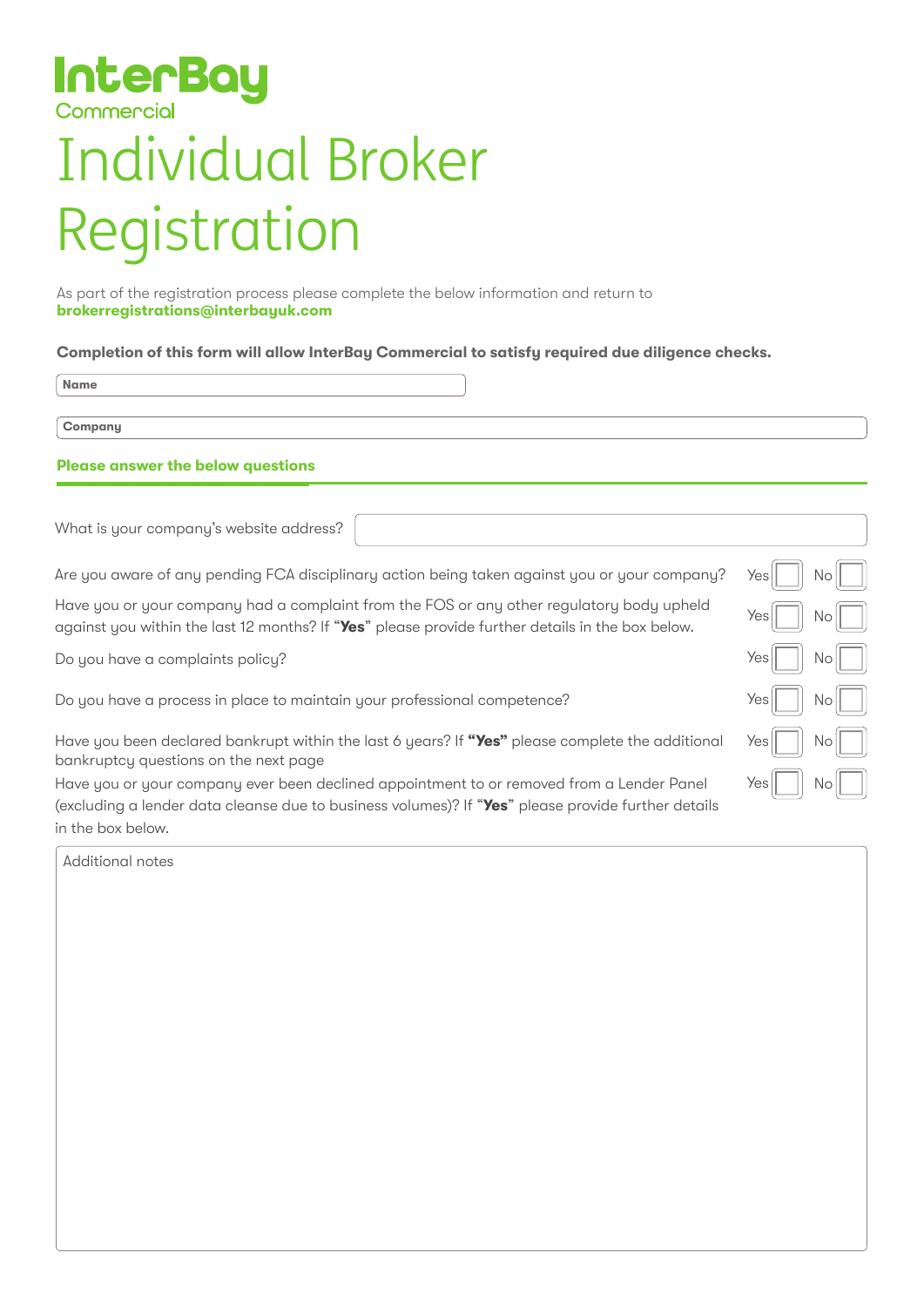# **InterBay** Commercial

# Individual Broker Registration

As part of the registration process please complete the below information and return to **brokerregistrations@interbayuk.com**

#### **Completion of this form will allow InterBay Commercial to satisfy required due diligence checks.**

**Name**

**Company**

### **Please answer the below questions**

What is your company's website address?

Are you aware of any pending FCA disciplinary action being taken against you or your company?

Yes

No

 $N<sub>c</sub>$ 

 $Nc$ 

**N**c

 $N<sub>c</sub>$ 

No

Yes

Yes

Yes

Ye

Yes

Have you or your company had a complaint from the FOS or any other regulatory body upheld against you within the last 12 months? If "**Yes**" please provide further details in the box below.

Do you have a complaints policy?

Do you have a process in place to maintain your professional competence?

Have you been declared bankrupt within the last 6 years? If "Yes" please complete the additional bankruptcy questions on the next page

Have you or your company ever been declined appointment to or removed from a Lender Panel (excluding a lender data cleanse due to business volumes)? If "**Yes**" please provide further details in the box below.

Additional notes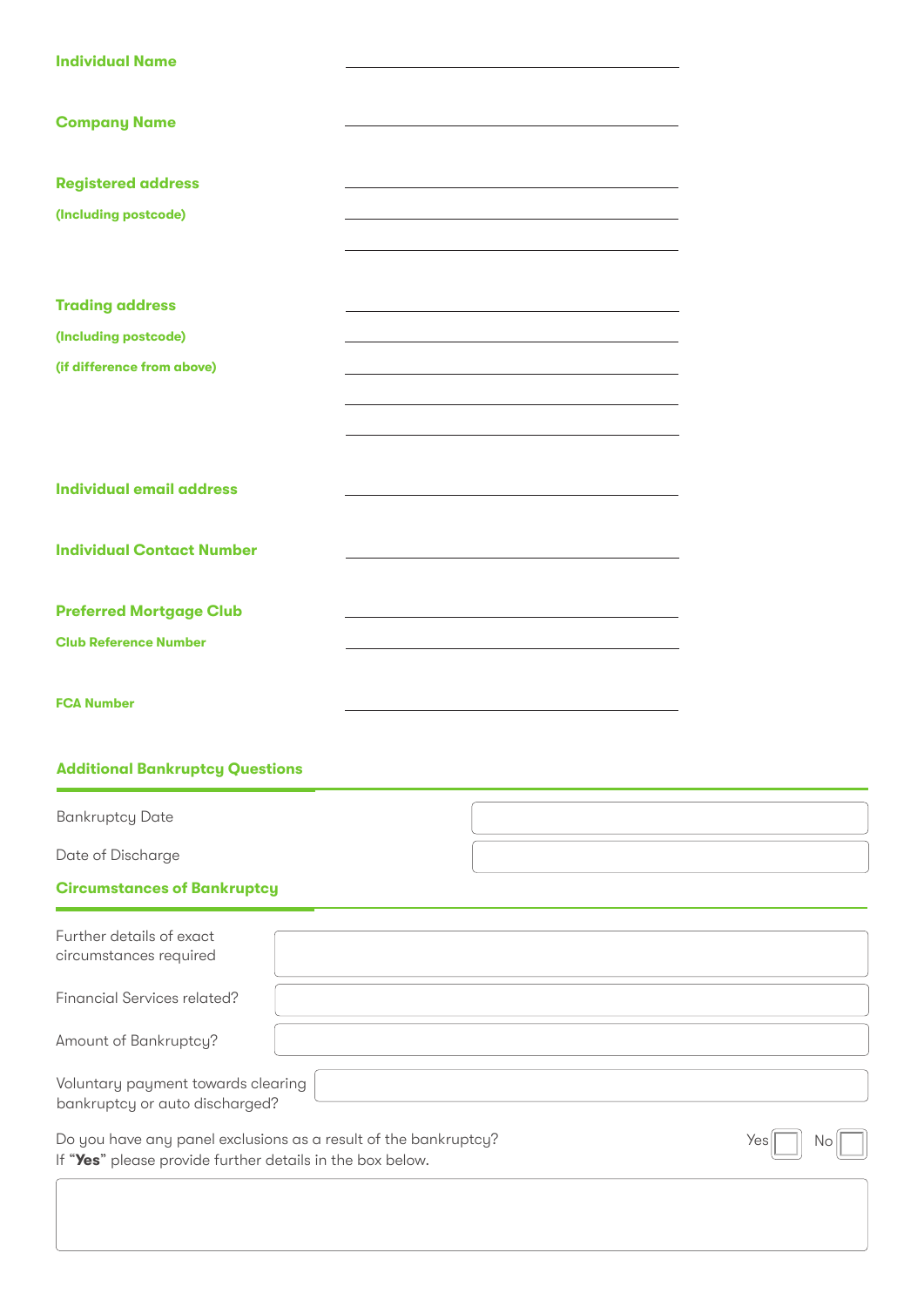| <b>Individual Name</b>                                                                                                       |                                                                                                                                                                                                                               |           |
|------------------------------------------------------------------------------------------------------------------------------|-------------------------------------------------------------------------------------------------------------------------------------------------------------------------------------------------------------------------------|-----------|
| <b>Company Name</b>                                                                                                          |                                                                                                                                                                                                                               |           |
| <b>Registered address</b>                                                                                                    |                                                                                                                                                                                                                               |           |
| (Including postcode)                                                                                                         | the control of the control of the control of the control of the control of the control of the control of the control of the control of the control of the control of the control of the control of the control of the control |           |
|                                                                                                                              |                                                                                                                                                                                                                               |           |
|                                                                                                                              |                                                                                                                                                                                                                               |           |
| <b>Trading address</b>                                                                                                       | <u> 1989 - Johann Stein, mars an deutscher Stein und der Stein und der Stein und der Stein und der Stein und der</u>                                                                                                          |           |
| (Including postcode)                                                                                                         |                                                                                                                                                                                                                               |           |
| (if difference from above)                                                                                                   | <u> 1989 - Andrea Stadt Britain, amerikansk politiker (d. 1989)</u>                                                                                                                                                           |           |
|                                                                                                                              |                                                                                                                                                                                                                               |           |
|                                                                                                                              |                                                                                                                                                                                                                               |           |
|                                                                                                                              |                                                                                                                                                                                                                               |           |
| <b>Individual email address</b>                                                                                              | the control of the control of the control of the control of the control of the control of                                                                                                                                     |           |
|                                                                                                                              |                                                                                                                                                                                                                               |           |
| <b>Individual Contact Number</b>                                                                                             |                                                                                                                                                                                                                               |           |
| <b>Preferred Mortgage Club</b>                                                                                               |                                                                                                                                                                                                                               |           |
| <b>Club Reference Number</b>                                                                                                 | <u> 1989 - Johann Barn, fransk politik (f. 1989)</u>                                                                                                                                                                          |           |
|                                                                                                                              |                                                                                                                                                                                                                               |           |
| <b>FCA Number</b>                                                                                                            |                                                                                                                                                                                                                               |           |
|                                                                                                                              |                                                                                                                                                                                                                               |           |
| <b>Additional Bankruptcy Questions</b>                                                                                       |                                                                                                                                                                                                                               |           |
| <b>Bankruptcy Date</b>                                                                                                       |                                                                                                                                                                                                                               |           |
| Date of Discharge                                                                                                            |                                                                                                                                                                                                                               |           |
| <b>Circumstances of Bankruptcy</b>                                                                                           |                                                                                                                                                                                                                               |           |
|                                                                                                                              |                                                                                                                                                                                                                               |           |
| Further details of exact<br>circumstances required                                                                           |                                                                                                                                                                                                                               |           |
|                                                                                                                              |                                                                                                                                                                                                                               |           |
| Financial Services related?                                                                                                  |                                                                                                                                                                                                                               |           |
| Amount of Bankruptcy?                                                                                                        |                                                                                                                                                                                                                               |           |
| Voluntary payment towards clearing<br>bankruptcy or auto discharged?                                                         |                                                                                                                                                                                                                               |           |
| Do you have any panel exclusions as a result of the bankruptcy?<br>If "Yes" please provide further details in the box below. |                                                                                                                                                                                                                               | Yes<br>Νo |
|                                                                                                                              |                                                                                                                                                                                                                               |           |